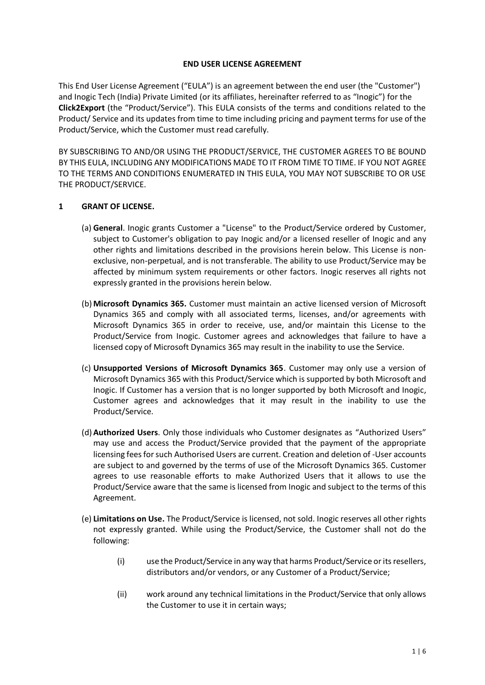### **END USER LICENSE AGREEMENT**

This End User License Agreement ("EULA") is an agreement between the end user (the "Customer") and Inogic Tech (India) Private Limited (or its affiliates, hereinafter referred to as "Inogic") for the **Click2Export** (the "Product/Service"). This EULA consists of the terms and conditions related to the Product/ Service and its updates from time to time including pricing and payment terms for use of the Product/Service, which the Customer must read carefully.

BY SUBSCRIBING TO AND/OR USING THE PRODUCT/SERVICE, THE CUSTOMER AGREES TO BE BOUND BY THIS EULA, INCLUDING ANY MODIFICATIONS MADE TO IT FROM TIME TO TIME. IF YOU NOT AGREE TO THE TERMS AND CONDITIONS ENUMERATED IN THIS EULA, YOU MAY NOT SUBSCRIBE TO OR USE THE PRODUCT/SERVICE.

# **1 GRANT OF LICENSE.**

- (a) **General**. Inogic grants Customer a "License" to the Product/Service ordered by Customer, subject to Customer's obligation to pay Inogic and/or a licensed reseller of Inogic and any other rights and limitations described in the provisions herein below. This License is nonexclusive, non-perpetual, and is not transferable. The ability to use Product/Service may be affected by minimum system requirements or other factors. Inogic reserves all rights not expressly granted in the provisions herein below.
- (b) **Microsoft Dynamics 365.** Customer must maintain an active licensed version of Microsoft Dynamics 365 and comply with all associated terms, licenses, and/or agreements with Microsoft Dynamics 365 in order to receive, use, and/or maintain this License to the Product/Service from Inogic. Customer agrees and acknowledges that failure to have a licensed copy of Microsoft Dynamics 365 may result in the inability to use the Service.
- (c) **Unsupported Versions of Microsoft Dynamics 365**. Customer may only use a version of Microsoft Dynamics 365 with this Product/Service which is supported by both Microsoft and Inogic. If Customer has a version that is no longer supported by both Microsoft and Inogic, Customer agrees and acknowledges that it may result in the inability to use the Product/Service.
- (d) **Authorized Users**. Only those individuals who Customer designates as "Authorized Users" may use and access the Product/Service provided that the payment of the appropriate licensing fees for such Authorised Users are current. Creation and deletion of -User accounts are subject to and governed by the terms of use of the Microsoft Dynamics 365. Customer agrees to use reasonable efforts to make Authorized Users that it allows to use the Product/Service aware that the same is licensed from Inogic and subject to the terms of this Agreement.
- (e) **Limitations on Use.** The Product/Service is licensed, not sold. Inogic reserves all other rights not expressly granted. While using the Product/Service, the Customer shall not do the following:
	- (i) use the Product/Service in any way that harms Product/Service or its resellers, distributors and/or vendors, or any Customer of a Product/Service;
	- (ii) work around any technical limitations in the Product/Service that only allows the Customer to use it in certain ways;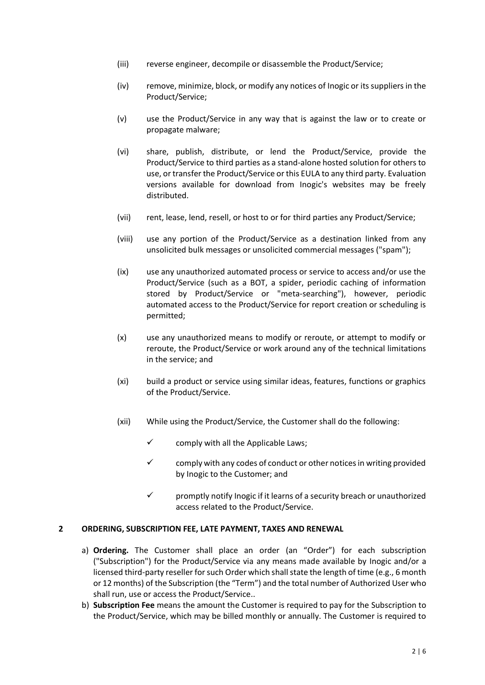- (iii) reverse engineer, decompile or disassemble the Product/Service;
- (iv) remove, minimize, block, or modify any notices of Inogic or its suppliers in the Product/Service;
- (v) use the Product/Service in any way that is against the law or to create or propagate malware;
- (vi) share, publish, distribute, or lend the Product/Service, provide the Product/Service to third parties as a stand-alone hosted solution for others to use, or transfer the Product/Service or this EULA to any third party. Evaluation versions available for download from Inogic's websites may be freely distributed.
- (vii) rent, lease, lend, resell, or host to or for third parties any Product/Service;
- (viii) use any portion of the Product/Service as a destination linked from any unsolicited bulk messages or unsolicited commercial messages ("spam");
- (ix) use any unauthorized automated process or service to access and/or use the Product/Service (such as a BOT, a spider, periodic caching of information stored by Product/Service or "meta-searching"), however, periodic automated access to the Product/Service for report creation or scheduling is permitted;
- (x) use any unauthorized means to modify or reroute, or attempt to modify or reroute, the Product/Service or work around any of the technical limitations in the service; and
- (xi) build a product or service using similar ideas, features, functions or graphics of the Product/Service.
- (xii) While using the Product/Service, the Customer shall do the following:
	- $\checkmark$  comply with all the Applicable Laws;
	- $\checkmark$  comply with any codes of conduct or other notices in writing provided by Inogic to the Customer; and
	- ✓ promptly notify Inogic if it learns of a security breach or unauthorized access related to the Product/Service.

## **2 ORDERING, SUBSCRIPTION FEE, LATE PAYMENT, TAXES AND RENEWAL**

- a) **Ordering.** The Customer shall place an order (an "Order") for each subscription ("Subscription") for the Product/Service via any means made available by Inogic and/or a licensed third-party reseller for such Order which shall state the length of time (e.g., 6 month or 12 months) of the Subscription (the "Term") and the total number of Authorized User who shall run, use or access the Product/Service..
- b) **Subscription Fee** means the amount the Customer is required to pay for the Subscription to the Product/Service, which may be billed monthly or annually. The Customer is required to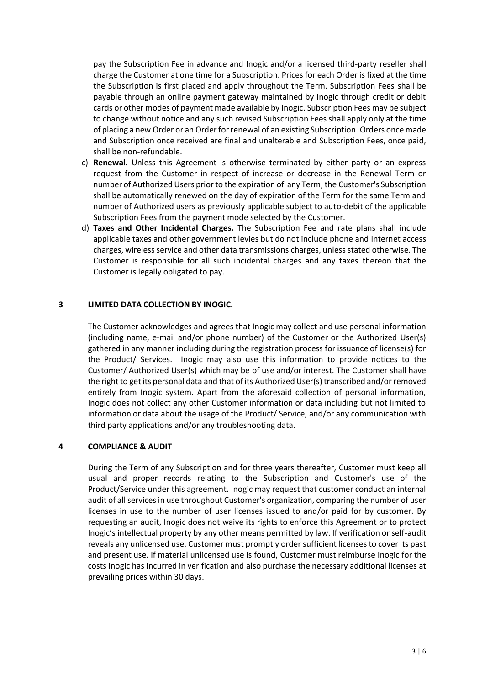pay the Subscription Fee in advance and Inogic and/or a licensed third-party reseller shall charge the Customer at one time for a Subscription. Prices for each Order is fixed at the time the Subscription is first placed and apply throughout the Term. Subscription Fees shall be payable through an online payment gateway maintained by Inogic through credit or debit cards or other modes of payment made available by Inogic. Subscription Fees may be subject to change without notice and any such revised Subscription Fees shall apply only at the time of placing a new Order or an Order for renewal of an existing Subscription. Orders once made and Subscription once received are final and unalterable and Subscription Fees, once paid, shall be non-refundable.

- c) **Renewal.** Unless this Agreement is otherwise terminated by either party or an express request from the Customer in respect of increase or decrease in the Renewal Term or number of Authorized Users prior to the expiration of any Term, the Customer's Subscription shall be automatically renewed on the day of expiration of the Term for the same Term and number of Authorized users as previously applicable subject to auto-debit of the applicable Subscription Fees from the payment mode selected by the Customer.
- d) **Taxes and Other Incidental Charges.** The Subscription Fee and rate plans shall include applicable taxes and other government levies but do not include phone and Internet access charges, wireless service and other data transmissions charges, unless stated otherwise. The Customer is responsible for all such incidental charges and any taxes thereon that the Customer is legally obligated to pay.

#### **3 LIMITED DATA COLLECTION BY INOGIC.**

The Customer acknowledges and agrees that Inogic may collect and use personal information (including name, e-mail and/or phone number) of the Customer or the Authorized User(s) gathered in any manner including during the registration process for issuance of license(s) for the Product/ Services. Inogic may also use this information to provide notices to the Customer/ Authorized User(s) which may be of use and/or interest. The Customer shall have the right to get its personal data and that of its Authorized User(s) transcribed and/or removed entirely from Inogic system. Apart from the aforesaid collection of personal information, Inogic does not collect any other Customer information or data including but not limited to information or data about the usage of the Product/ Service; and/or any communication with third party applications and/or any troubleshooting data.

#### **4 COMPLIANCE & AUDIT**

During the Term of any Subscription and for three years thereafter, Customer must keep all usual and proper records relating to the Subscription and Customer's use of the Product/Service under this agreement. Inogic may request that customer conduct an internal audit of all services in use throughout Customer's organization, comparing the number of user licenses in use to the number of user licenses issued to and/or paid for by customer. By requesting an audit, Inogic does not waive its rights to enforce this Agreement or to protect Inogic's intellectual property by any other means permitted by law. If verification or self-audit reveals any unlicensed use, Customer must promptly order sufficient licenses to cover its past and present use. If material unlicensed use is found, Customer must reimburse Inogic for the costs Inogic has incurred in verification and also purchase the necessary additional licenses at prevailing prices within 30 days.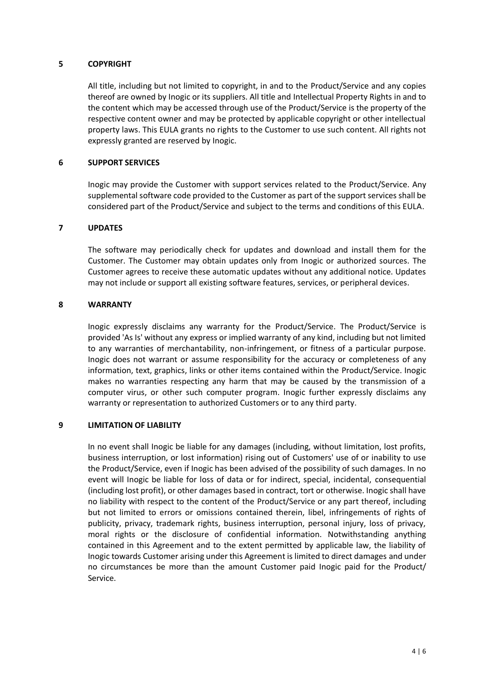## **5 COPYRIGHT**

All title, including but not limited to copyright, in and to the Product/Service and any copies thereof are owned by Inogic or its suppliers. All title and Intellectual Property Rights in and to the content which may be accessed through use of the Product/Service is the property of the respective content owner and may be protected by applicable copyright or other intellectual property laws. This EULA grants no rights to the Customer to use such content. All rights not expressly granted are reserved by Inogic.

## **6 SUPPORT SERVICES**

Inogic may provide the Customer with support services related to the Product/Service. Any supplemental software code provided to the Customer as part of the support services shall be considered part of the Product/Service and subject to the terms and conditions of this EULA.

# **7 UPDATES**

The software may periodically check for updates and download and install them for the Customer. The Customer may obtain updates only from Inogic or authorized sources. The Customer agrees to receive these automatic updates without any additional notice. Updates may not include or support all existing software features, services, or peripheral devices.

#### **8 WARRANTY**

Inogic expressly disclaims any warranty for the Product/Service. The Product/Service is provided 'As Is' without any express or implied warranty of any kind, including but not limited to any warranties of merchantability, non-infringement, or fitness of a particular purpose. Inogic does not warrant or assume responsibility for the accuracy or completeness of any information, text, graphics, links or other items contained within the Product/Service. Inogic makes no warranties respecting any harm that may be caused by the transmission of a computer virus, or other such computer program. Inogic further expressly disclaims any warranty or representation to authorized Customers or to any third party.

### **9 LIMITATION OF LIABILITY**

In no event shall Inogic be liable for any damages (including, without limitation, lost profits, business interruption, or lost information) rising out of Customers' use of or inability to use the Product/Service, even if Inogic has been advised of the possibility of such damages. In no event will Inogic be liable for loss of data or for indirect, special, incidental, consequential (including lost profit), or other damages based in contract, tort or otherwise. Inogic shall have no liability with respect to the content of the Product/Service or any part thereof, including but not limited to errors or omissions contained therein, libel, infringements of rights of publicity, privacy, trademark rights, business interruption, personal injury, loss of privacy, moral rights or the disclosure of confidential information. Notwithstanding anything contained in this Agreement and to the extent permitted by applicable law, the liability of Inogic towards Customer arising under this Agreement is limited to direct damages and under no circumstances be more than the amount Customer paid Inogic paid for the Product/ Service.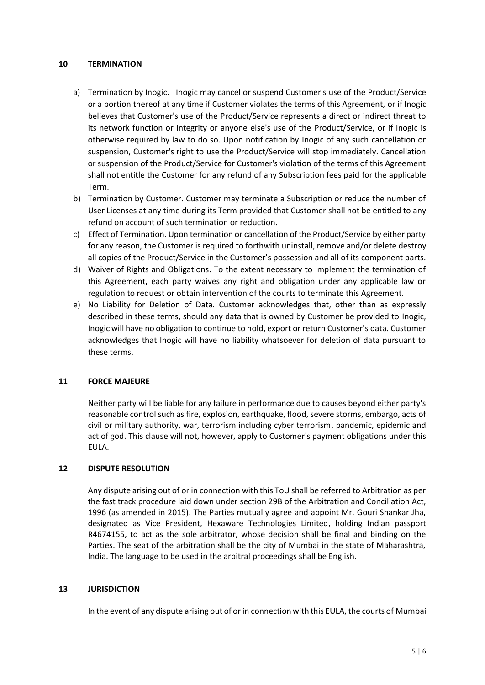### **10 TERMINATION**

- a) Termination by Inogic. Inogic may cancel or suspend Customer's use of the Product/Service or a portion thereof at any time if Customer violates the terms of this Agreement, or if Inogic believes that Customer's use of the Product/Service represents a direct or indirect threat to its network function or integrity or anyone else's use of the Product/Service, or if Inogic is otherwise required by law to do so. Upon notification by Inogic of any such cancellation or suspension, Customer's right to use the Product/Service will stop immediately. Cancellation or suspension of the Product/Service for Customer's violation of the terms of this Agreement shall not entitle the Customer for any refund of any Subscription fees paid for the applicable Term.
- b) Termination by Customer. Customer may terminate a Subscription or reduce the number of User Licenses at any time during its Term provided that Customer shall not be entitled to any refund on account of such termination or reduction.
- c) Effect of Termination. Upon termination or cancellation of the Product/Service by either party for any reason, the Customer is required to forthwith uninstall, remove and/or delete destroy all copies of the Product/Service in the Customer's possession and all of its component parts.
- d) Waiver of Rights and Obligations. To the extent necessary to implement the termination of this Agreement, each party waives any right and obligation under any applicable law or regulation to request or obtain intervention of the courts to terminate this Agreement.
- e) No Liability for Deletion of Data. Customer acknowledges that, other than as expressly described in these terms, should any data that is owned by Customer be provided to Inogic, Inogic will have no obligation to continue to hold, export or return Customer's data. Customer acknowledges that Inogic will have no liability whatsoever for deletion of data pursuant to these terms.

## **11 FORCE MAJEURE**

Neither party will be liable for any failure in performance due to causes beyond either party's reasonable control such as fire, explosion, earthquake, flood, severe storms, embargo, acts of civil or military authority, war, terrorism including cyber terrorism, pandemic, epidemic and act of god. This clause will not, however, apply to Customer's payment obligations under this EULA.

# **12 DISPUTE RESOLUTION**

Any dispute arising out of or in connection with this ToU shall be referred to Arbitration as per the fast track procedure laid down under section 29B of the Arbitration and Conciliation Act, 1996 (as amended in 2015). The Parties mutually agree and appoint Mr. Gouri Shankar Jha, designated as Vice President, Hexaware Technologies Limited, holding Indian passport R4674155, to act as the sole arbitrator, whose decision shall be final and binding on the Parties. The seat of the arbitration shall be the city of Mumbai in the state of Maharashtra, India. The language to be used in the arbitral proceedings shall be English.

## **13 JURISDICTION**

In the event of any dispute arising out of or in connection with this EULA, the courts of Mumbai